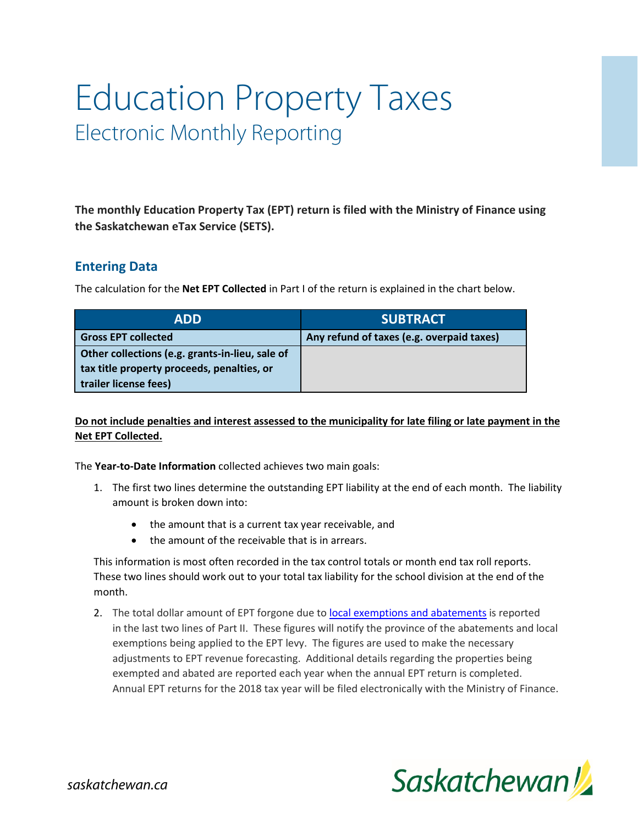# Education Property Taxes Electronic Monthly Reporting

**The monthly Education Property Tax (EPT) return is filed with the Ministry of Finance using the Saskatchewan eTax Service (SETS).**

## **Entering Data**

The calculation for the **Net EPT Collected** in Part I of the return is explained in the chart below.

| <b>ADD</b>                                      | <b>SUBTRACT</b>                           |
|-------------------------------------------------|-------------------------------------------|
| <b>Gross EPT collected</b>                      | Any refund of taxes (e.g. overpaid taxes) |
| Other collections (e.g. grants-in-lieu, sale of |                                           |
| tax title property proceeds, penalties, or      |                                           |
| trailer license fees)                           |                                           |

### **Do not include penalties and interest assessed to the municipality for late filing or late payment in the Net EPT Collected.**

The **Year-to-Date Information** collected achieves two main goals:

- 1. The first two lines determine the outstanding EPT liability at the end of each month. The liability amount is broken down into:
	- the amount that is a current tax year receivable, and
	- the amount of the receivable that is in arrears.

This information is most often recorded in the tax control totals or month end tax roll reports. These two lines should work out to your total tax liability for the school division at the end of the month.

2. The total dollar amount of EPT forgone due to [local exemptions and abatements](http://www.saskatchewan.ca/government/municipal-administration/taxation-and-service-fees/information-for-municipalities-concerning-education-property-tax#ept-exemptions-and-abatements) is reported in the last two lines of Part II. These figures will notify the province of the abatements and local exemptions being applied to the EPT levy. The figures are used to make the necessary adjustments to EPT revenue forecasting. Additional details regarding the properties being exempted and abated are reported each year when the annual EPT return is completed. Annual EPT returns for the 2018 tax year will be filed electronically with the Ministry of Finance.